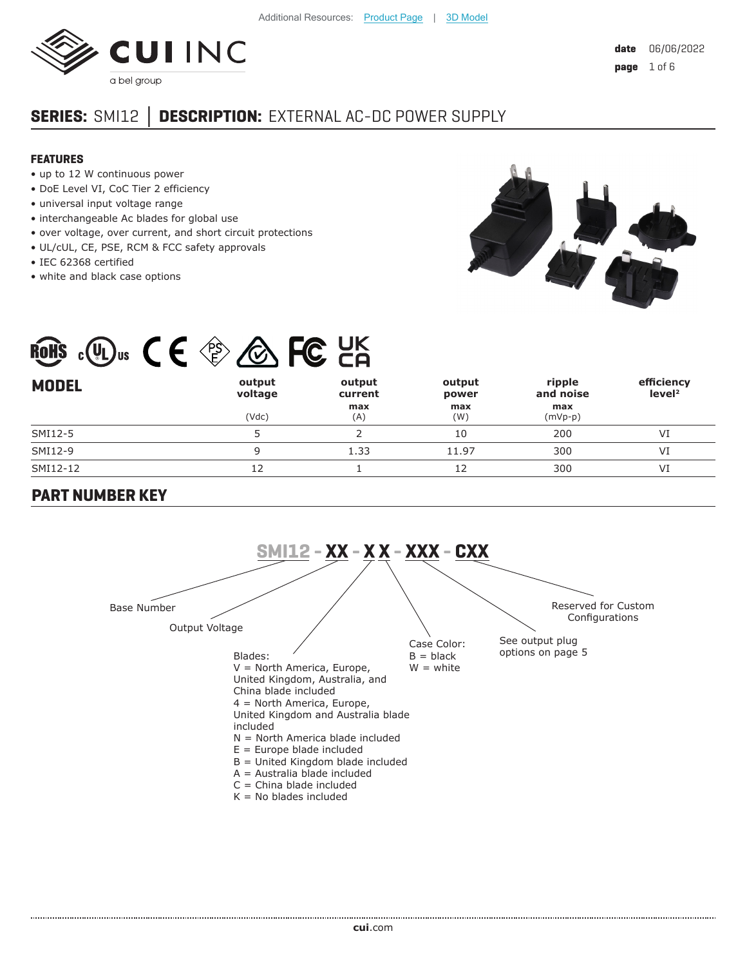

**eff**  $\mathbf{r}$ **i**  $\mathbf{r}$ 

# **SERIES:** SMI12 **│ DESCRIPTION:** EXTERNAL AC-DC POWER SUPPLY

#### **FEATURES**

- up to 12 W continuous power
- DoE Level VI, CoC Tier 2 efficiency
- universal input voltage range
- interchangeable Ac blades for global use
- over voltage, over current, and short circuit protections

- UL/cUL, CE, PSE, RCM & FCC safety approvals
- IEC 62368 certified
- white and black case options



**ripple** 

|              | ROHS $c(U_L)_{US}$ | $CE \otimes \bigotimes FC$ CA |        |  |
|--------------|--------------------|-------------------------------|--------|--|
| <b>MUDEL</b> |                    | output                        | output |  |

| <b>MODEL</b> | output<br>voltage | output<br>current | output<br>power | ripple<br>and noise | efficiency<br>level <sup>2</sup> |
|--------------|-------------------|-------------------|-----------------|---------------------|----------------------------------|
|              | (Vdc)             | max<br>(A)        | max<br>(W)      | max<br>$(mVp-p)$    |                                  |
| SMI12-5      |                   |                   | 10              | 200                 | VI                               |
| SMI12-9      |                   | 1.33              | 11.97           | 300                 | VI                               |
| SMI12-12     |                   |                   |                 | 300                 | VI                               |

**output** 

#### **PART NUMBER KEY**

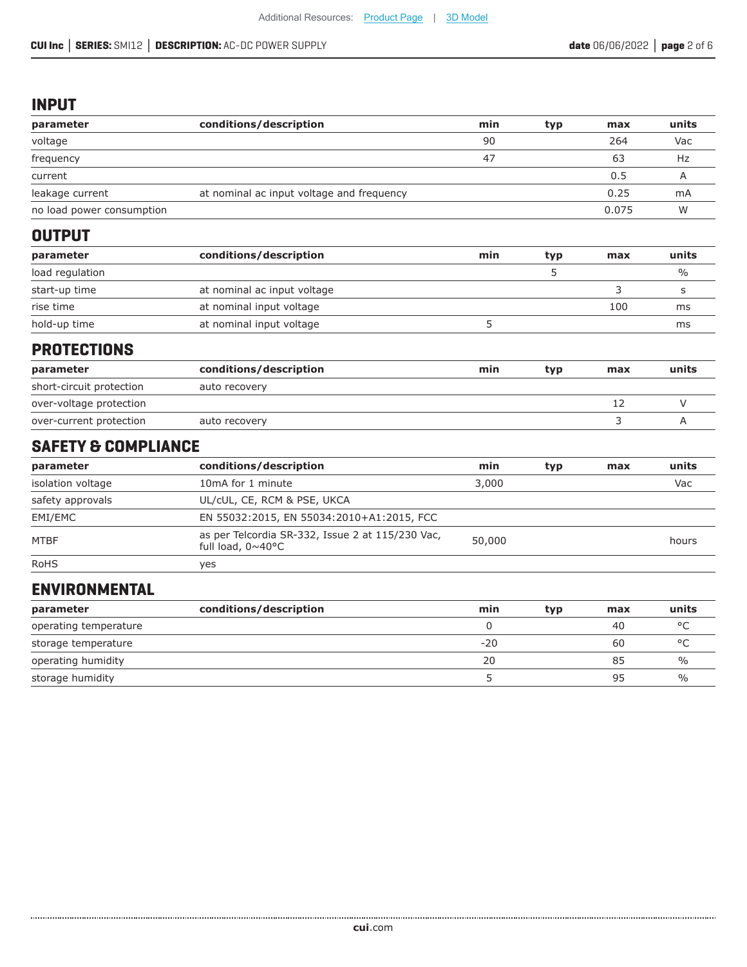#### **INPUT**

| parameter                      | conditions/description                                                | min    | typ | max   | units         |
|--------------------------------|-----------------------------------------------------------------------|--------|-----|-------|---------------|
| voltage                        |                                                                       | 90     |     | 264   | Vac           |
| frequency                      |                                                                       | 47     |     | 63    | Hz            |
| current                        |                                                                       |        |     | 0.5   | Α             |
| leakage current                | at nominal ac input voltage and frequency                             |        |     | 0.25  | mA            |
| no load power consumption      |                                                                       |        |     | 0.075 | W             |
| <b>OUTPUT</b>                  |                                                                       |        |     |       |               |
| parameter                      | conditions/description                                                | min    | typ | max   | units         |
| load regulation                |                                                                       |        | 5   |       | $\frac{0}{0}$ |
| start-up time                  | at nominal ac input voltage                                           |        |     | 3     | s             |
| rise time                      | at nominal input voltage                                              |        |     | 100   | ms            |
| hold-up time                   | at nominal input voltage                                              | 5      |     |       | ms            |
| <b>PROTECTIONS</b>             |                                                                       |        |     |       |               |
| parameter                      | conditions/description                                                | min    | typ | max   | units         |
| short-circuit protection       | auto recovery                                                         |        |     |       |               |
| over-voltage protection        |                                                                       |        |     | 12    | $\vee$        |
| over-current protection        | auto recovery                                                         |        |     | 3     | A             |
| <b>SAFETY &amp; COMPLIANCE</b> |                                                                       |        |     |       |               |
| parameter                      | conditions/description                                                | min    | typ | max   | units         |
| isolation voltage              | 10mA for 1 minute                                                     | 3,000  |     |       | Vac           |
| safety approvals               | UL/cUL, CE, RCM & PSE, UKCA                                           |        |     |       |               |
| EMI/EMC                        | EN 55032:2015, EN 55034:2010+A1:2015, FCC                             |        |     |       |               |
| <b>MTBF</b>                    | as per Telcordia SR-332, Issue 2 at 115/230 Vac,<br>full load, 0~40°C | 50,000 |     |       | hours         |

# RoHS yes

...................

## **ENVIRONMENTAL**

| parameter             | conditions/description | min   | typ | max | units         |
|-----------------------|------------------------|-------|-----|-----|---------------|
| operating temperature |                        |       |     | 40  | $\circ$       |
| storage temperature   |                        | $-20$ |     | 60  |               |
| operating humidity    |                        | 20    |     | 85  | $\%$          |
| storage humidity      |                        |       |     | 95  | $\frac{0}{0}$ |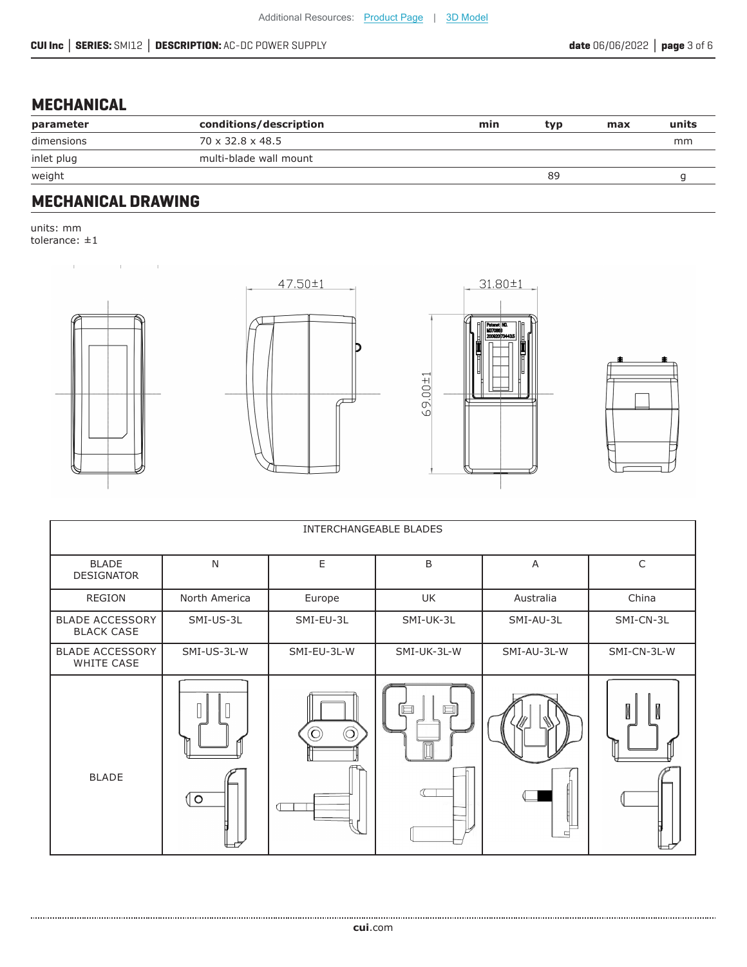# **MECHANICAL**

| parameter  | conditions/description | min | typ | max | units |
|------------|------------------------|-----|-----|-----|-------|
| dimensions | 70 x 32.8 x 48.5       |     |     |     | mm    |
| inlet plug | multi-blade wall mount |     |     |     |       |
| weight     |                        |     | 89  |     |       |

#### **MECHANICAL DRAWING**

 $\mathbf{r}$  and  $\mathbf{r}$  and  $\mathbf{r}$ 

units: mm tolerance: ±1

 $\mathbb{R}^2$ 









| INTERCHANGEABLE BLADES                      |               |              |             |             |             |  |
|---------------------------------------------|---------------|--------------|-------------|-------------|-------------|--|
| <b>BLADE</b><br><b>DESIGNATOR</b>           | N             | $\mathsf E$  | B           | A           | $\mathsf C$ |  |
| <b>REGION</b>                               | North America | Europe       | UK          | Australia   | China       |  |
| <b>BLADE ACCESSORY</b><br><b>BLACK CASE</b> | SMI-US-3L     | SMI-EU-3L    | SMI-UK-3L   | SMI-AU-3L   | SMI-CN-3L   |  |
| <b>BLADE ACCESSORY</b><br>WHITE CASE        | SMI-US-3L-W   | SMI-EU-3L-W  | SMI-UK-3L-W | SMI-AU-3L-W | SMI-CN-3L-W |  |
| <b>BLADE</b>                                | ( ଠ           | $\odot$<br>റ | □           |             | Ń           |  |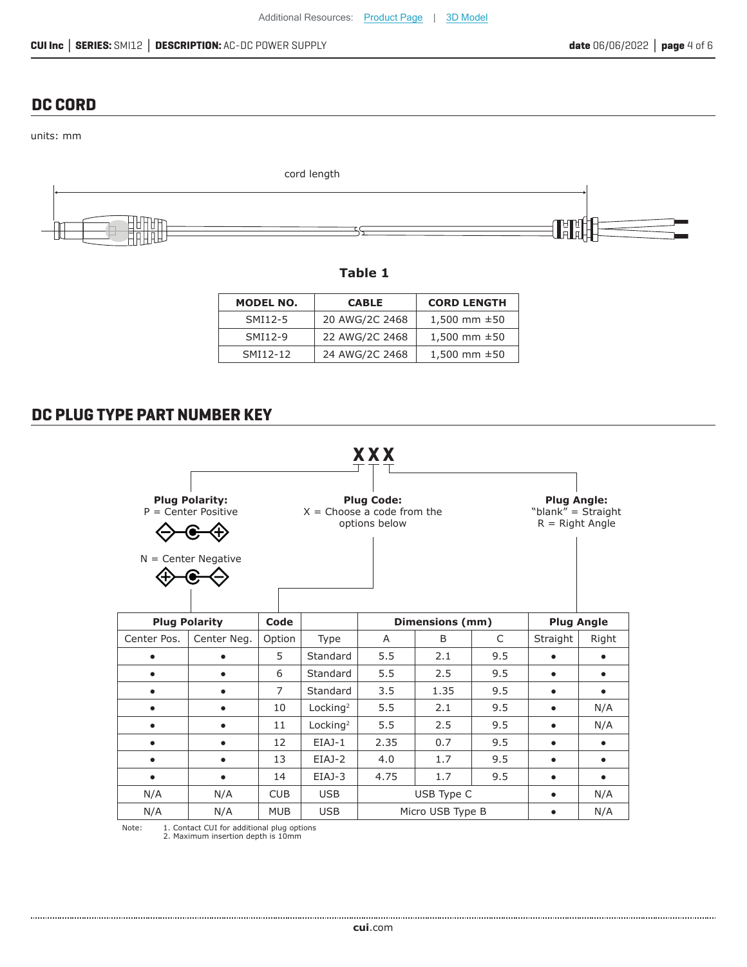#### **DC CORD**

units: mm



**Table 1**

| MODEL NO. | <b>CABLE</b>   | <b>CORD LENGTH</b> |
|-----------|----------------|--------------------|
| SMI12-5   | 20 AWG/2C 2468 | 1,500 mm $\pm$ 50  |
| SMI12-9   | 22 AWG/2C 2468 | 1,500 mm $\pm$ 50  |
| SMI12-12  | 24 AWG/2C 2468 | 1,500 mm $\pm 50$  |

#### **DC PLUG TYPE PART NUMBER KEY**



Note: 1. Contact CUI for additional plug options 2. Maximum insertion depth is 10mm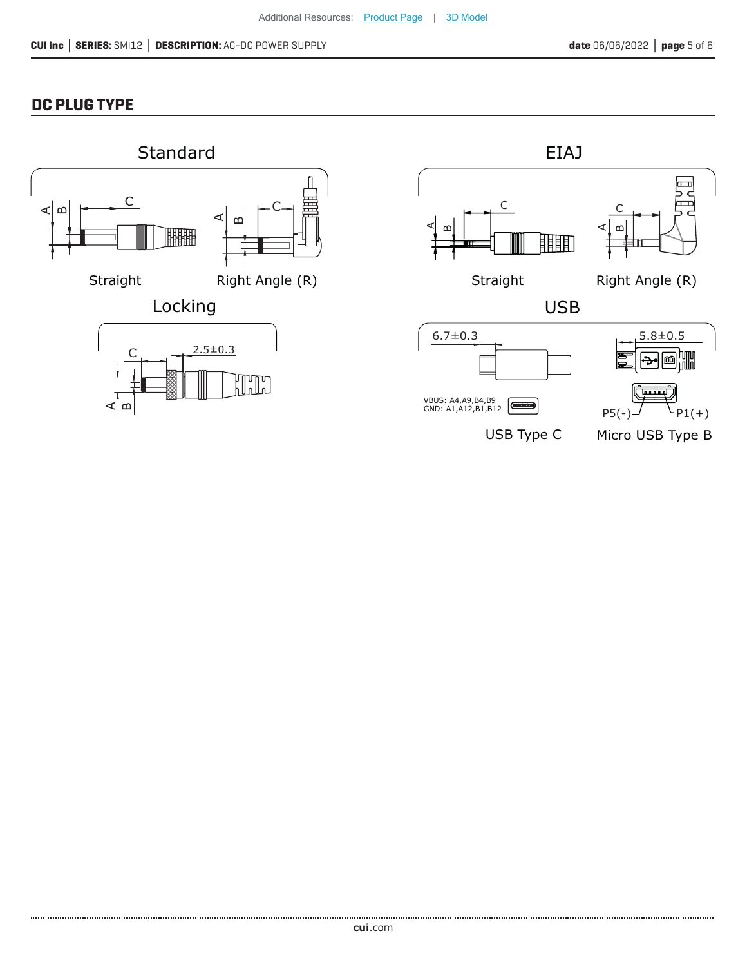## **DC PLUG TYPE**